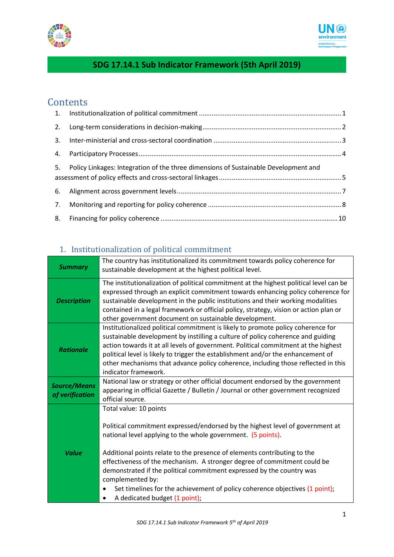



## **SDG 17.14.1 Sub Indicator Framework (5th April 2019)**

### **Contents**

| 5. Policy Linkages: Integration of the three dimensions of Sustainable Development and |  |
|----------------------------------------------------------------------------------------|--|
|                                                                                        |  |
|                                                                                        |  |
|                                                                                        |  |

### 1. Institutionalization of political commitment

| <b>Summary</b>                         | The country has institutionalized its commitment towards policy coherence for<br>sustainable development at the highest political level.                                                                                                                                                                                                                                                                                                                                                                                                     |
|----------------------------------------|----------------------------------------------------------------------------------------------------------------------------------------------------------------------------------------------------------------------------------------------------------------------------------------------------------------------------------------------------------------------------------------------------------------------------------------------------------------------------------------------------------------------------------------------|
| <b>Description</b>                     | The institutionalization of political commitment at the highest political level can be<br>expressed through an explicit commitment towards enhancing policy coherence for<br>sustainable development in the public institutions and their working modalities<br>contained in a legal framework or official policy, strategy, vision or action plan or<br>other government document on sustainable development.                                                                                                                               |
| <b>Rationale</b>                       | Institutionalized political commitment is likely to promote policy coherence for<br>sustainable development by instilling a culture of policy coherence and guiding<br>action towards it at all levels of government. Political commitment at the highest<br>political level is likely to trigger the establishment and/or the enhancement of<br>other mechanisms that advance policy coherence, including those reflected in this<br>indicator framework.                                                                                   |
| <b>Source/Means</b><br>of verification | National law or strategy or other official document endorsed by the government<br>appearing in official Gazette / Bulletin / Journal or other government recognized<br>official source.                                                                                                                                                                                                                                                                                                                                                      |
| <b>Value</b>                           | Total value: 10 points<br>Political commitment expressed/endorsed by the highest level of government at<br>national level applying to the whole government. (5 points).<br>Additional points relate to the presence of elements contributing to the<br>effectiveness of the mechanism. A stronger degree of commitment could be<br>demonstrated if the political commitment expressed by the country was<br>complemented by:<br>Set timelines for the achievement of policy coherence objectives (1 point);<br>A dedicated budget (1 point); |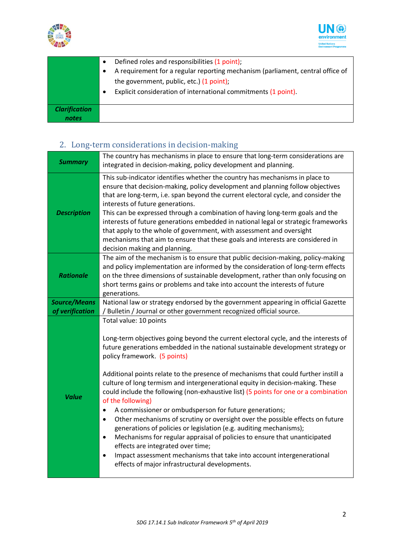



|                               | Defined roles and responsibilities (1 point);<br>A requirement for a regular reporting mechanism (parliament, central office of<br>the government, public, etc.) (1 point);<br>Explicit consideration of international commitments (1 point). |
|-------------------------------|-----------------------------------------------------------------------------------------------------------------------------------------------------------------------------------------------------------------------------------------------|
| <b>Clarification</b><br>notes |                                                                                                                                                                                                                                               |

# 2. Long-term considerations in decision-making

| <b>Summary</b>                         | The country has mechanisms in place to ensure that long-term considerations are<br>integrated in decision-making, policy development and planning.                                                                                                                                                                                                                                                                                                                                                                                                                                                                                                                                                                                                                                                                                                                                                                                                                                                                                       |
|----------------------------------------|------------------------------------------------------------------------------------------------------------------------------------------------------------------------------------------------------------------------------------------------------------------------------------------------------------------------------------------------------------------------------------------------------------------------------------------------------------------------------------------------------------------------------------------------------------------------------------------------------------------------------------------------------------------------------------------------------------------------------------------------------------------------------------------------------------------------------------------------------------------------------------------------------------------------------------------------------------------------------------------------------------------------------------------|
| <b>Description</b>                     | This sub-indicator identifies whether the country has mechanisms in place to<br>ensure that decision-making, policy development and planning follow objectives<br>that are long-term, i.e. span beyond the current electoral cycle, and consider the<br>interests of future generations.<br>This can be expressed through a combination of having long-term goals and the<br>interests of future generations embedded in national legal or strategic frameworks<br>that apply to the whole of government, with assessment and oversight<br>mechanisms that aim to ensure that these goals and interests are considered in<br>decision making and planning.                                                                                                                                                                                                                                                                                                                                                                               |
| <b>Rationale</b>                       | The aim of the mechanism is to ensure that public decision-making, policy-making<br>and policy implementation are informed by the consideration of long-term effects<br>on the three dimensions of sustainable development, rather than only focusing on<br>short terms gains or problems and take into account the interests of future<br>generations.                                                                                                                                                                                                                                                                                                                                                                                                                                                                                                                                                                                                                                                                                  |
| <b>Source/Means</b><br>of verification | National law or strategy endorsed by the government appearing in official Gazette<br>/ Bulletin / Journal or other government recognized official source.                                                                                                                                                                                                                                                                                                                                                                                                                                                                                                                                                                                                                                                                                                                                                                                                                                                                                |
| <b>Value</b>                           | Total value: 10 points<br>Long-term objectives going beyond the current electoral cycle, and the interests of<br>future generations embedded in the national sustainable development strategy or<br>policy framework. (5 points)<br>Additional points relate to the presence of mechanisms that could further instill a<br>culture of long termism and intergenerational equity in decision-making. These<br>could include the following (non-exhaustive list) (5 points for one or a combination<br>of the following)<br>A commissioner or ombudsperson for future generations;<br>$\bullet$<br>Other mechanisms of scrutiny or oversight over the possible effects on future<br>$\bullet$<br>generations of policies or legislation (e.g. auditing mechanisms);<br>Mechanisms for regular appraisal of policies to ensure that unanticipated<br>$\bullet$<br>effects are integrated over time;<br>Impact assessment mechanisms that take into account intergenerational<br>$\bullet$<br>effects of major infrastructural developments. |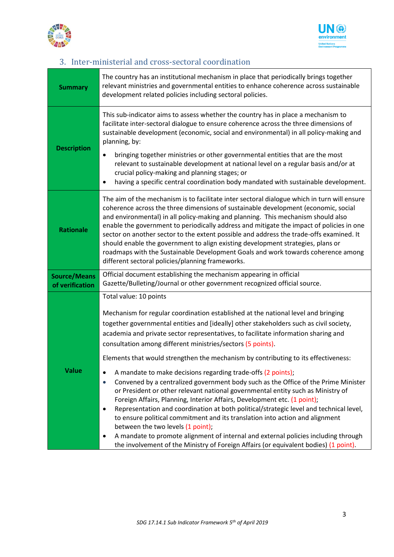



### 3. Inter-ministerial and cross-sectoral coordination

| <b>Summary</b>                         | The country has an institutional mechanism in place that periodically brings together<br>relevant ministries and governmental entities to enhance coherence across sustainable<br>development related policies including sectoral policies.                                                                                                                                                                                                                                                                                                                                                                                                                                                                                                                        |
|----------------------------------------|--------------------------------------------------------------------------------------------------------------------------------------------------------------------------------------------------------------------------------------------------------------------------------------------------------------------------------------------------------------------------------------------------------------------------------------------------------------------------------------------------------------------------------------------------------------------------------------------------------------------------------------------------------------------------------------------------------------------------------------------------------------------|
| <b>Description</b>                     | This sub-indicator aims to assess whether the country has in place a mechanism to<br>facilitate inter-sectoral dialogue to ensure coherence across the three dimensions of<br>sustainable development (economic, social and environmental) in all policy-making and<br>planning, by:<br>bringing together ministries or other governmental entities that are the most                                                                                                                                                                                                                                                                                                                                                                                              |
|                                        | relevant to sustainable development at national level on a regular basis and/or at<br>crucial policy-making and planning stages; or<br>having a specific central coordination body mandated with sustainable development.                                                                                                                                                                                                                                                                                                                                                                                                                                                                                                                                          |
| <b>Rationale</b>                       | The aim of the mechanism is to facilitate inter sectoral dialogue which in turn will ensure<br>coherence across the three dimensions of sustainable development (economic, social<br>and environmental) in all policy-making and planning. This mechanism should also<br>enable the government to periodically address and mitigate the impact of policies in one<br>sector on another sector to the extent possible and address the trade-offs examined. It<br>should enable the government to align existing development strategies, plans or<br>roadmaps with the Sustainable Development Goals and work towards coherence among<br>different sectoral policies/planning frameworks.                                                                            |
| <b>Source/Means</b><br>of verification | Official document establishing the mechanism appearing in official<br>Gazette/Bulleting/Journal or other government recognized official source.                                                                                                                                                                                                                                                                                                                                                                                                                                                                                                                                                                                                                    |
|                                        | Total value: 10 points                                                                                                                                                                                                                                                                                                                                                                                                                                                                                                                                                                                                                                                                                                                                             |
|                                        | Mechanism for regular coordination established at the national level and bringing<br>together governmental entities and [ideally] other stakeholders such as civil society,<br>academia and private sector representatives, to facilitate information sharing and<br>consultation among different ministries/sectors (5 points).                                                                                                                                                                                                                                                                                                                                                                                                                                   |
|                                        | Elements that would strengthen the mechanism by contributing to its effectiveness:                                                                                                                                                                                                                                                                                                                                                                                                                                                                                                                                                                                                                                                                                 |
| <b>Value</b>                           | A mandate to make decisions regarding trade-offs (2 points);<br>$\bullet$<br>Convened by a centralized government body such as the Office of the Prime Minister<br>$\bullet$<br>or President or other relevant national governmental entity such as Ministry of<br>Foreign Affairs, Planning, Interior Affairs, Development etc. (1 point);<br>Representation and coordination at both political/strategic level and technical level,<br>$\bullet$<br>to ensure political commitment and its translation into action and alignment<br>between the two levels (1 point);<br>A mandate to promote alignment of internal and external policies including through<br>$\bullet$<br>the involvement of the Ministry of Foreign Affairs (or equivalent bodies) (1 point). |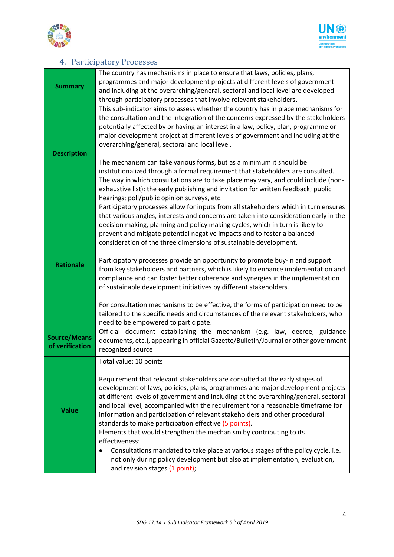



#### 4. Participatory Processes

| <b>Summary</b>                         | The country has mechanisms in place to ensure that laws, policies, plans,<br>programmes and major development projects at different levels of government<br>and including at the overarching/general, sectoral and local level are developed<br>through participatory processes that involve relevant stakeholders.                                                                                                                                                                          |
|----------------------------------------|----------------------------------------------------------------------------------------------------------------------------------------------------------------------------------------------------------------------------------------------------------------------------------------------------------------------------------------------------------------------------------------------------------------------------------------------------------------------------------------------|
| <b>Description</b>                     | This sub-indicator aims to assess whether the country has in place mechanisms for<br>the consultation and the integration of the concerns expressed by the stakeholders<br>potentially affected by or having an interest in a law, policy, plan, programme or<br>major development project at different levels of government and including at the<br>overarching/general, sectoral and local level.                                                                                          |
|                                        | The mechanism can take various forms, but as a minimum it should be<br>institutionalized through a formal requirement that stakeholders are consulted.<br>The way in which consultations are to take place may vary, and could include (non-<br>exhaustive list): the early publishing and invitation for written feedback; public<br>hearings; poll/public opinion surveys, etc.                                                                                                            |
|                                        | Participatory processes allow for inputs from all stakeholders which in turn ensures<br>that various angles, interests and concerns are taken into consideration early in the<br>decision making, planning and policy making cycles, which in turn is likely to<br>prevent and mitigate potential negative impacts and to foster a balanced<br>consideration of the three dimensions of sustainable development.                                                                             |
| <b>Rationale</b>                       | Participatory processes provide an opportunity to promote buy-in and support<br>from key stakeholders and partners, which is likely to enhance implementation and<br>compliance and can foster better coherence and synergies in the implementation<br>of sustainable development initiatives by different stakeholders.                                                                                                                                                                     |
|                                        | For consultation mechanisms to be effective, the forms of participation need to be<br>tailored to the specific needs and circumstances of the relevant stakeholders, who<br>need to be empowered to participate.                                                                                                                                                                                                                                                                             |
| <b>Source/Means</b><br>of verification | Official document establishing the mechanism (e.g. law, decree, guidance<br>documents, etc.), appearing in official Gazette/Bulletin/Journal or other government<br>recognized source                                                                                                                                                                                                                                                                                                        |
|                                        | Total value: 10 points<br>Requirement that relevant stakeholders are consulted at the early stages of                                                                                                                                                                                                                                                                                                                                                                                        |
| <b>Value</b>                           | development of laws, policies, plans, programmes and major development projects<br>at different levels of government and including at the overarching/general, sectoral<br>and local level, accompanied with the requirement for a reasonable timeframe for<br>information and participation of relevant stakeholders and other procedural<br>standards to make participation effective (5 points).<br>Elements that would strengthen the mechanism by contributing to its<br>effectiveness: |
|                                        | Consultations mandated to take place at various stages of the policy cycle, i.e.<br>not only during policy development but also at implementation, evaluation,<br>and revision stages (1 point);                                                                                                                                                                                                                                                                                             |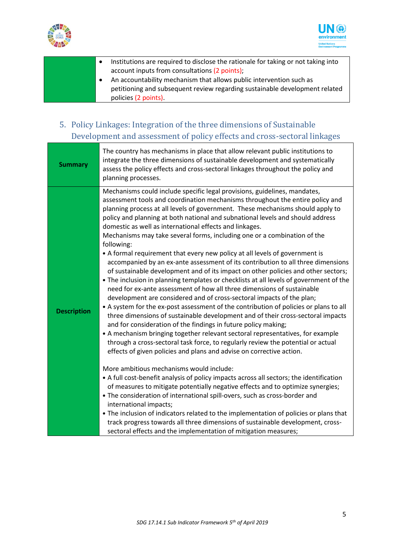



- Institutions are required to disclose the rationale for taking or not taking into account inputs from consultations (2 points);
- An accountability mechanism that allows public intervention such as petitioning and subsequent review regarding sustainable development related policies (2 points).
- 5. Policy Linkages: Integration of the three dimensions of Sustainable Development and assessment of policy effects and cross-sectoral linkages

| <b>Summary</b>     | The country has mechanisms in place that allow relevant public institutions to<br>integrate the three dimensions of sustainable development and systematically<br>assess the policy effects and cross-sectoral linkages throughout the policy and<br>planning processes.                                                                                                                                                                                                                                                                                                                                                                                                                                                                                                                                                                                                                                                                                                                                                                                                                                                                                                                                                                                                                                                                                                                                                                                                                                                         |
|--------------------|----------------------------------------------------------------------------------------------------------------------------------------------------------------------------------------------------------------------------------------------------------------------------------------------------------------------------------------------------------------------------------------------------------------------------------------------------------------------------------------------------------------------------------------------------------------------------------------------------------------------------------------------------------------------------------------------------------------------------------------------------------------------------------------------------------------------------------------------------------------------------------------------------------------------------------------------------------------------------------------------------------------------------------------------------------------------------------------------------------------------------------------------------------------------------------------------------------------------------------------------------------------------------------------------------------------------------------------------------------------------------------------------------------------------------------------------------------------------------------------------------------------------------------|
| <b>Description</b> | Mechanisms could include specific legal provisions, guidelines, mandates,<br>assessment tools and coordination mechanisms throughout the entire policy and<br>planning process at all levels of government. These mechanisms should apply to<br>policy and planning at both national and subnational levels and should address<br>domestic as well as international effects and linkages.<br>Mechanisms may take several forms, including one or a combination of the<br>following:<br>• A formal requirement that every new policy at all levels of government is<br>accompanied by an ex-ante assessment of its contribution to all three dimensions<br>of sustainable development and of its impact on other policies and other sectors;<br>. The inclusion in planning templates or checklists at all levels of government of the<br>need for ex-ante assessment of how all three dimensions of sustainable<br>development are considered and of cross-sectoral impacts of the plan;<br>• A system for the ex-post assessment of the contribution of policies or plans to all<br>three dimensions of sustainable development and of their cross-sectoral impacts<br>and for consideration of the findings in future policy making;<br>• A mechanism bringing together relevant sectoral representatives, for example<br>through a cross-sectoral task force, to regularly review the potential or actual<br>effects of given policies and plans and advise on corrective action.<br>More ambitious mechanisms would include: |
|                    | • A full cost-benefit analysis of policy impacts across all sectors; the identification<br>of measures to mitigate potentially negative effects and to optimize synergies;<br>. The consideration of international spill-overs, such as cross-border and<br>international impacts;<br>• The inclusion of indicators related to the implementation of policies or plans that<br>track progress towards all three dimensions of sustainable development, cross-                                                                                                                                                                                                                                                                                                                                                                                                                                                                                                                                                                                                                                                                                                                                                                                                                                                                                                                                                                                                                                                                    |
|                    | sectoral effects and the implementation of mitigation measures;                                                                                                                                                                                                                                                                                                                                                                                                                                                                                                                                                                                                                                                                                                                                                                                                                                                                                                                                                                                                                                                                                                                                                                                                                                                                                                                                                                                                                                                                  |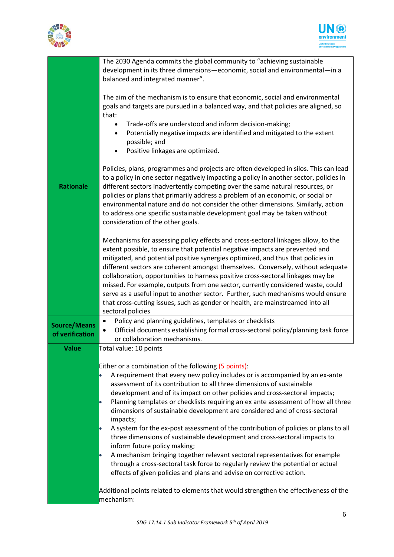



|                                        | The 2030 Agenda commits the global community to "achieving sustainable<br>development in its three dimensions-economic, social and environmental-in a<br>balanced and integrated manner".                                                                                                                                                                                                                                                                                                                                                                                                                                                                                                                 |
|----------------------------------------|-----------------------------------------------------------------------------------------------------------------------------------------------------------------------------------------------------------------------------------------------------------------------------------------------------------------------------------------------------------------------------------------------------------------------------------------------------------------------------------------------------------------------------------------------------------------------------------------------------------------------------------------------------------------------------------------------------------|
|                                        | The aim of the mechanism is to ensure that economic, social and environmental<br>goals and targets are pursued in a balanced way, and that policies are aligned, so<br>that:<br>Trade-offs are understood and inform decision-making;<br>$\bullet$<br>Potentially negative impacts are identified and mitigated to the extent<br>$\bullet$<br>possible; and<br>Positive linkages are optimized.<br>$\bullet$                                                                                                                                                                                                                                                                                              |
| <b>Rationale</b>                       | Policies, plans, programmes and projects are often developed in silos. This can lead<br>to a policy in one sector negatively impacting a policy in another sector, policies in<br>different sectors inadvertently competing over the same natural resources, or<br>policies or plans that primarily address a problem of an economic, or social or<br>environmental nature and do not consider the other dimensions. Similarly, action<br>to address one specific sustainable development goal may be taken without<br>consideration of the other goals.                                                                                                                                                  |
|                                        | Mechanisms for assessing policy effects and cross-sectoral linkages allow, to the<br>extent possible, to ensure that potential negative impacts are prevented and<br>mitigated, and potential positive synergies optimized, and thus that policies in<br>different sectors are coherent amongst themselves. Conversely, without adequate<br>collaboration, opportunities to harness positive cross-sectoral linkages may be<br>missed. For example, outputs from one sector, currently considered waste, could<br>serve as a useful input to another sector. Further, such mechanisms would ensure<br>that cross-cutting issues, such as gender or health, are mainstreamed into all<br>sectoral policies |
| <b>Source/Means</b><br>of verification | Policy and planning guidelines, templates or checklists<br>$\bullet$<br>Official documents establishing formal cross-sectoral policy/planning task force<br>or collaboration mechanisms.                                                                                                                                                                                                                                                                                                                                                                                                                                                                                                                  |
| <b>Value</b>                           | Total value: 10 points                                                                                                                                                                                                                                                                                                                                                                                                                                                                                                                                                                                                                                                                                    |
|                                        | Either or a combination of the following (5 points):<br>A requirement that every new policy includes or is accompanied by an ex-ante<br>assessment of its contribution to all three dimensions of sustainable<br>development and of its impact on other policies and cross-sectoral impacts;<br>Planning templates or checklists requiring an ex ante assessment of how all three<br>þ<br>dimensions of sustainable development are considered and of cross-sectoral<br>impacts;                                                                                                                                                                                                                          |
|                                        | A system for the ex-post assessment of the contribution of policies or plans to all<br>three dimensions of sustainable development and cross-sectoral impacts to<br>inform future policy making;<br>A mechanism bringing together relevant sectoral representatives for example<br>þ<br>through a cross-sectoral task force to regularly review the potential or actual                                                                                                                                                                                                                                                                                                                                   |
|                                        | effects of given policies and plans and advise on corrective action.<br>Additional points related to elements that would strengthen the effectiveness of the<br>mechanism:                                                                                                                                                                                                                                                                                                                                                                                                                                                                                                                                |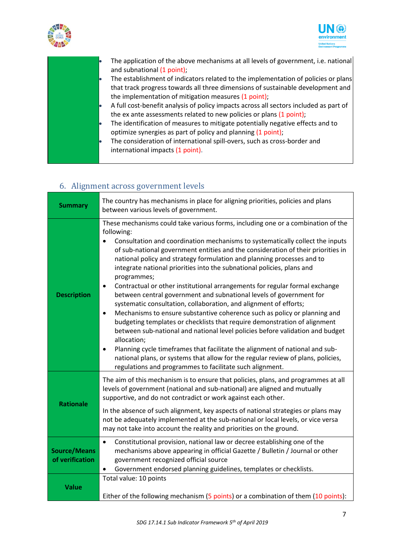





- The application of the above mechanisms at all levels of government, i.e. national and subnational (1 point);
- The establishment of indicators related to the implementation of policies or plans that track progress towards all three dimensions of sustainable development and the implementation of mitigation measures (1 point);
- A full cost-benefit analysis of policy impacts across all sectors included as part of the ex ante assessments related to new policies or plans (1 point);
- The identification of measures to mitigate potentially negative effects and to optimize synergies as part of policy and planning (1 point);
- The consideration of international spill-overs, such as cross-border and international impacts (1 point).

#### 6. Alignment across government levels

| <b>Summary</b>                         | The country has mechanisms in place for aligning priorities, policies and plans<br>between various levels of government.                                                                                                                                                                                                                                                                                                                                                                                                                                                                                                                                                                                                                                                                                                                                                                                                                                                                                                                                                                                                                                                                           |
|----------------------------------------|----------------------------------------------------------------------------------------------------------------------------------------------------------------------------------------------------------------------------------------------------------------------------------------------------------------------------------------------------------------------------------------------------------------------------------------------------------------------------------------------------------------------------------------------------------------------------------------------------------------------------------------------------------------------------------------------------------------------------------------------------------------------------------------------------------------------------------------------------------------------------------------------------------------------------------------------------------------------------------------------------------------------------------------------------------------------------------------------------------------------------------------------------------------------------------------------------|
| <b>Description</b>                     | These mechanisms could take various forms, including one or a combination of the<br>following:<br>Consultation and coordination mechanisms to systematically collect the inputs<br>of sub-national government entities and the consideration of their priorities in<br>national policy and strategy formulation and planning processes and to<br>integrate national priorities into the subnational policies, plans and<br>programmes;<br>Contractual or other institutional arrangements for regular formal exchange<br>$\bullet$<br>between central government and subnational levels of government for<br>systematic consultation, collaboration, and alignment of efforts;<br>Mechanisms to ensure substantive coherence such as policy or planning and<br>$\bullet$<br>budgeting templates or checklists that require demonstration of alignment<br>between sub-national and national level policies before validation and budget<br>allocation;<br>Planning cycle timeframes that facilitate the alignment of national and sub-<br>$\bullet$<br>national plans, or systems that allow for the regular review of plans, policies,<br>regulations and programmes to facilitate such alignment. |
| <b>Rationale</b>                       | The aim of this mechanism is to ensure that policies, plans, and programmes at all<br>levels of government (national and sub-national) are aligned and mutually<br>supportive, and do not contradict or work against each other.<br>In the absence of such alignment, key aspects of national strategies or plans may<br>not be adequately implemented at the sub-national or local levels, or vice versa<br>may not take into account the reality and priorities on the ground.                                                                                                                                                                                                                                                                                                                                                                                                                                                                                                                                                                                                                                                                                                                   |
| <b>Source/Means</b><br>of verification | Constitutional provision, national law or decree establishing one of the<br>$\bullet$<br>mechanisms above appearing in official Gazette / Bulletin / Journal or other<br>government recognized official source<br>Government endorsed planning guidelines, templates or checklists.                                                                                                                                                                                                                                                                                                                                                                                                                                                                                                                                                                                                                                                                                                                                                                                                                                                                                                                |
| <b>Value</b>                           | Total value: 10 points<br>Either of the following mechanism (5 points) or a combination of them (10 points):                                                                                                                                                                                                                                                                                                                                                                                                                                                                                                                                                                                                                                                                                                                                                                                                                                                                                                                                                                                                                                                                                       |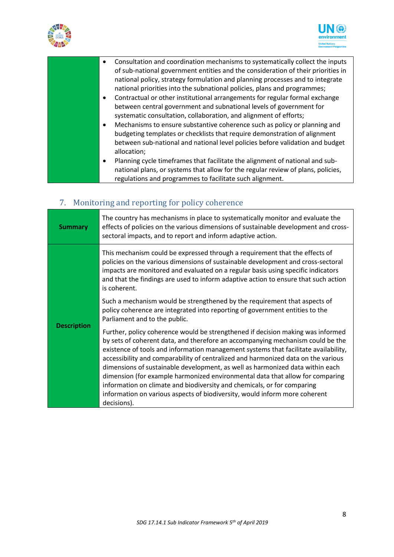



| Consultation and coordination mechanisms to systematically collect the inputs<br>of sub-national government entities and the consideration of their priorities in<br>national policy, strategy formulation and planning processes and to integrate<br>national priorities into the subnational policies, plans and programmes;<br>Contractual or other institutional arrangements for regular formal exchange<br>between central government and subnational levels of government for<br>systematic consultation, collaboration, and alignment of efforts;<br>Mechanisms to ensure substantive coherence such as policy or planning and<br>$\bullet$<br>budgeting templates or checklists that require demonstration of alignment<br>between sub-national and national level policies before validation and budget |
|-------------------------------------------------------------------------------------------------------------------------------------------------------------------------------------------------------------------------------------------------------------------------------------------------------------------------------------------------------------------------------------------------------------------------------------------------------------------------------------------------------------------------------------------------------------------------------------------------------------------------------------------------------------------------------------------------------------------------------------------------------------------------------------------------------------------|
| allocation;                                                                                                                                                                                                                                                                                                                                                                                                                                                                                                                                                                                                                                                                                                                                                                                                       |
| Planning cycle timeframes that facilitate the alignment of national and sub-<br>$\bullet$<br>national plans, or systems that allow for the regular review of plans, policies,<br>regulations and programmes to facilitate such alignment.                                                                                                                                                                                                                                                                                                                                                                                                                                                                                                                                                                         |

# 7. Monitoring and reporting for policy coherence

| <b>Summary</b>     | The country has mechanisms in place to systematically monitor and evaluate the<br>effects of policies on the various dimensions of sustainable development and cross-<br>sectoral impacts, and to report and inform adaptive action.                                                                                                                                                                                                                                                                                                                                                                                                                                                    |
|--------------------|-----------------------------------------------------------------------------------------------------------------------------------------------------------------------------------------------------------------------------------------------------------------------------------------------------------------------------------------------------------------------------------------------------------------------------------------------------------------------------------------------------------------------------------------------------------------------------------------------------------------------------------------------------------------------------------------|
|                    | This mechanism could be expressed through a requirement that the effects of<br>policies on the various dimensions of sustainable development and cross-sectoral<br>impacts are monitored and evaluated on a regular basis using specific indicators<br>and that the findings are used to inform adaptive action to ensure that such action<br>is coherent.                                                                                                                                                                                                                                                                                                                              |
|                    | Such a mechanism would be strengthened by the requirement that aspects of<br>policy coherence are integrated into reporting of government entities to the<br>Parliament and to the public.                                                                                                                                                                                                                                                                                                                                                                                                                                                                                              |
| <b>Description</b> | Further, policy coherence would be strengthened if decision making was informed<br>by sets of coherent data, and therefore an accompanying mechanism could be the<br>existence of tools and information management systems that facilitate availability,<br>accessibility and comparability of centralized and harmonized data on the various<br>dimensions of sustainable development, as well as harmonized data within each<br>dimension (for example harmonized environmental data that allow for comparing<br>information on climate and biodiversity and chemicals, or for comparing<br>information on various aspects of biodiversity, would inform more coherent<br>decisions). |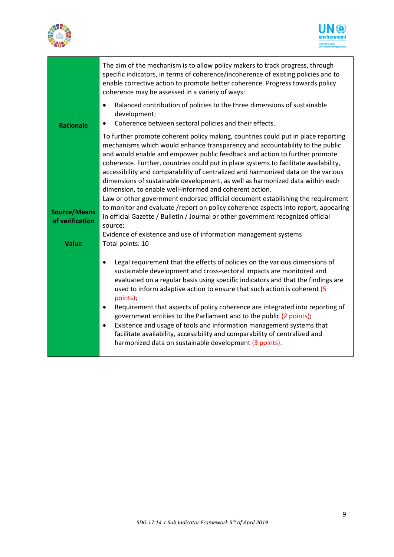



|                                        | The aim of the mechanism is to allow policy makers to track progress, through<br>specific indicators, in terms of coherence/incoherence of existing policies and to<br>enable corrective action to promote better coherence. Progress towards policy<br>coherence may be assessed in a variety of ways:                                                                                                                                                                                                                                                                                                                                                                                                                                 |
|----------------------------------------|-----------------------------------------------------------------------------------------------------------------------------------------------------------------------------------------------------------------------------------------------------------------------------------------------------------------------------------------------------------------------------------------------------------------------------------------------------------------------------------------------------------------------------------------------------------------------------------------------------------------------------------------------------------------------------------------------------------------------------------------|
| <b>Rationale</b>                       | Balanced contribution of policies to the three dimensions of sustainable<br>$\bullet$<br>development;<br>Coherence between sectoral policies and their effects.<br>$\bullet$                                                                                                                                                                                                                                                                                                                                                                                                                                                                                                                                                            |
|                                        | To further promote coherent policy making, countries could put in place reporting<br>mechanisms which would enhance transparency and accountability to the public<br>and would enable and empower public feedback and action to further promote<br>coherence. Further, countries could put in place systems to facilitate availability,<br>accessibility and comparability of centralized and harmonized data on the various<br>dimensions of sustainable development, as well as harmonized data within each<br>dimension, to enable well-informed and coherent action.                                                                                                                                                                |
| <b>Source/Means</b><br>of verification | Law or other government endorsed official document establishing the requirement<br>to monitor and evaluate /report on policy coherence aspects into report, appearing<br>in official Gazette / Bulletin / Journal or other government recognized official<br>source;<br>Evidence of existence and use of information management systems                                                                                                                                                                                                                                                                                                                                                                                                 |
| <b>Value</b>                           | Total points: 10                                                                                                                                                                                                                                                                                                                                                                                                                                                                                                                                                                                                                                                                                                                        |
|                                        | Legal requirement that the effects of policies on the various dimensions of<br>$\bullet$<br>sustainable development and cross-sectoral impacts are monitored and<br>evaluated on a regular basis using specific indicators and that the findings are<br>used to inform adaptive action to ensure that such action is coherent (5<br>points):<br>Requirement that aspects of policy coherence are integrated into reporting of<br>٠<br>government entities to the Parliament and to the public (2 points);<br>Existence and usage of tools and information management systems that<br>$\bullet$<br>facilitate availability, accessibility and comparability of centralized and<br>harmonized data on sustainable development (3 points). |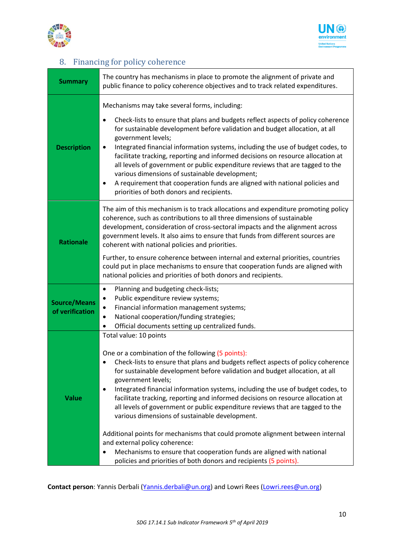



### 8. Financing for policy coherence

| Summary                                | The country has mechanisms in place to promote the alignment of private and<br>public finance to policy coherence objectives and to track related expenditures.                                                                                                                                                                                                                                                                                                                                                                                                                                                                                                                                                                                                                                                                                              |
|----------------------------------------|--------------------------------------------------------------------------------------------------------------------------------------------------------------------------------------------------------------------------------------------------------------------------------------------------------------------------------------------------------------------------------------------------------------------------------------------------------------------------------------------------------------------------------------------------------------------------------------------------------------------------------------------------------------------------------------------------------------------------------------------------------------------------------------------------------------------------------------------------------------|
| <b>Description</b>                     | Mechanisms may take several forms, including:<br>Check-lists to ensure that plans and budgets reflect aspects of policy coherence<br>for sustainable development before validation and budget allocation, at all<br>government levels;<br>Integrated financial information systems, including the use of budget codes, to<br>facilitate tracking, reporting and informed decisions on resource allocation at<br>all levels of government or public expenditure reviews that are tagged to the<br>various dimensions of sustainable development;<br>A requirement that cooperation funds are aligned with national policies and<br>$\bullet$<br>priorities of both donors and recipients.                                                                                                                                                                     |
| <b>Rationale</b>                       | The aim of this mechanism is to track allocations and expenditure promoting policy<br>coherence, such as contributions to all three dimensions of sustainable<br>development, consideration of cross-sectoral impacts and the alignment across<br>government levels. It also aims to ensure that funds from different sources are<br>coherent with national policies and priorities.<br>Further, to ensure coherence between internal and external priorities, countries<br>could put in place mechanisms to ensure that cooperation funds are aligned with<br>national policies and priorities of both donors and recipients.                                                                                                                                                                                                                               |
| <b>Source/Means</b><br>of verification | Planning and budgeting check-lists;<br>$\bullet$<br>Public expenditure review systems;<br>$\bullet$<br>Financial information management systems;<br>National cooperation/funding strategies;<br>Official documents setting up centralized funds.<br>$\bullet$                                                                                                                                                                                                                                                                                                                                                                                                                                                                                                                                                                                                |
| <b>Value</b>                           | Total value: 10 points<br>One or a combination of the following (5 points):<br>Check-lists to ensure that plans and budgets reflect aspects of policy coherence<br>for sustainable development before validation and budget allocation, at all<br>government levels;<br>Integrated financial information systems, including the use of budget codes, to<br>$\bullet$<br>facilitate tracking, reporting and informed decisions on resource allocation at<br>all levels of government or public expenditure reviews that are tagged to the<br>various dimensions of sustainable development.<br>Additional points for mechanisms that could promote alignment between internal<br>and external policy coherence:<br>Mechanisms to ensure that cooperation funds are aligned with national<br>policies and priorities of both donors and recipients (5 points). |

**Contact person**: Yannis Derbali [\(Yannis.derbali@un.org\)](mailto:Yannis.derbali@un.org) and Lowri Rees [\(Lowri.rees@un.org\)](mailto:Lowri.rees@un.org)